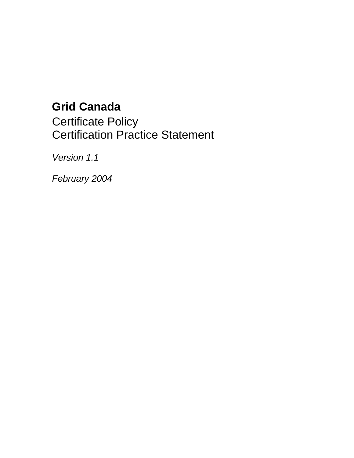# **Grid Canada**

Certificate Policy Certification Practice Statement

Version 1.1

February 2004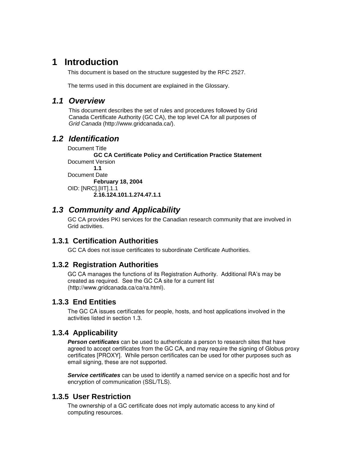# **1 Introduction**

This document is based on the structure suggested by the RFC 2527.

The terms used in this document are explained in the Glossary.

### **1.1 Overview**

This document describes the set of rules and procedures followed by Grid Canada Certificate Authority (GC CA), the top level CA for all purposes of Grid Canada (http://www.gridcanada.ca/).

# **1.2 Identification**

Document Title **GC CA Certificate Policy and Certification Practice Statement**  Document Version **1.1**  Document Date **February 18, 2004**  OID: [NRC].[IIT].1.1 **2.16.124.101.1.274.47.1.1** 

# **1.3 Community and Applicability**

GC CA provides PKI services for the Canadian research community that are involved in Grid activities.

### **1.3.1 Certification Authorities**

GC CA does not issue certificates to subordinate Certificate Authorities.

### **1.3.2 Registration Authorities**

GC CA manages the functions of its Registration Authority. Additional RA's may be created as required. See the GC CA site for a current list (http://www.gridcanada.ca/ca/ra.html).

### **1.3.3 End Entities**

The GC CA issues certificates for people, hosts, and host applications involved in the activities listed in section 1.3.

### **1.3.4 Applicability**

**Person certificates** can be used to authenticate a person to research sites that have agreed to accept certificates from the GC CA, and may require the signing of Globus proxy certificates [PROXY]. While person certificates can be used for other purposes such as email signing, these are not supported.

**Service certificates** can be used to identify a named service on a specific host and for encryption of communication (SSL/TLS).

### **1.3.5 User Restriction**

The ownership of a GC certificate does not imply automatic access to any kind of computing resources.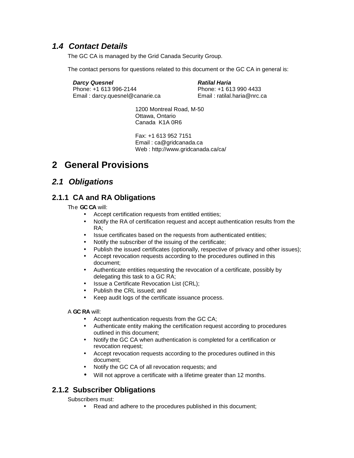# **1.4 Contact Details**

The GC CA is managed by the Grid Canada Security Group.

The contact persons for questions related to this document or the GC CA in general is:

**Darcy Quesnel 1988**<br> **Phone: +1 613 996-2144 Ratilal Haria**<br> **Phone: +1 613 990 4433** Phone: +1 613 996-2144 Email : darcy.quesnel@canarie.ca Email : ratilal.haria@nrc.ca

1200 Montreal Road, M-50 Ottawa, Ontario Canada K1A 0R6

Fax: +1 613 952 7151 Email : ca@gridcanada.ca Web : http://www.gridcanada.ca/ca/

# **2 General Provisions**

## **2.1 Obligations**

### **2.1.1 CA and RA Obligations**

The **GC CA** will:

- Accept certification requests from entitled entities;
- Notify the RA of certification request and accept authentication results from the RA;
- Issue certificates based on the requests from authenticated entities;
- Notify the subscriber of the issuing of the certificate;
- Publish the issued certificates (optionally, respective of privacy and other issues);
- Accept revocation requests according to the procedures outlined in this document;
- Authenticate entities requesting the revocation of a certificate, possibly by delegating this task to a GC RA;
- Issue a Certificate Revocation List (CRL);
- Publish the CRL issued; and
- Keep audit logs of the certificate issuance process.

A **GC RA** will:

- Accept authentication requests from the GC CA;
- Authenticate entity making the certification request according to procedures outlined in this document;
- Notify the GC CA when authentication is completed for a certification or revocation request;
- Accept revocation requests according to the procedures outlined in this document;
- Notify the GC CA of all revocation requests; and
- Will not approve a certificate with a lifetime greater than 12 months.

### **2.1.2 Subscriber Obligations**

Subscribers must:

• Read and adhere to the procedures published in this document;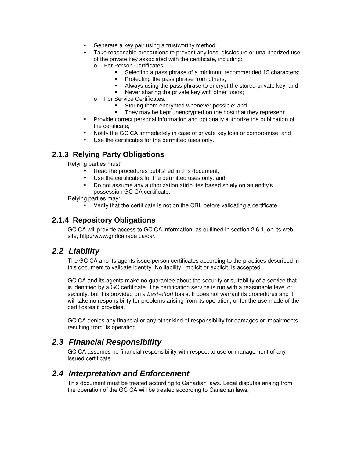- Generate a key pair using a trustworthy method;
- Take reasonable precautions to prevent any loss, disclosure or unauthorized use of the private key associated with the certificate, including:
	- o For Person Certificates:
		- -Selecting a pass phrase of a minimum recommended 15 characters;
		- -Protecting the pass phrase from others;
		- -Always using the pass phrase to encrypt the stored private key; and
		- -Never sharing the private key with other users;
	- o For Service Certificates:
		- -Storing them encrypted whenever possible; and
		- -They may be kept unencrypted on the host that they represent;
- Provide correct personal information and optionally authorize the publication of the certificate;
- Notify the GC CA immediately in case of private key loss or compromise; and
- Use the certificates for the permitted uses only.

### **2.1.3 Relying Party Obligations**

Relying parties must:

- Read the procedures published in this document;
- Use the certificates for the permitted uses only; and
- Do not assume any authorization attributes based solely on an entity's possession GC CA certificate.

Relying parties may:

• Verify that the certificate is not on the CRL before validating a certificate.

### **2.1.4 Repository Obligations**

GC CA will provide access to GC CA information, as outlined in section 2.6.1, on its web site, http://www.gridcanada.ca/ca/.

## **2.2 Liability**

The GC CA and its agents issue person certificates according to the practices described in this document to validate identity. No liability, implicit or explicit, is accepted.

GC CA and its agents make no guarantee about the security or suitability of a service that is identified by a GC certificate. The certification service is run with a reasonable level of security, but it is provided on a *best-effort* basis. It does not warrant its procedures and it will take no responsibility for problems arising from its operation, or for the use made of the certificates it provides.

GC CA denies any financial or any other kind of responsibility for damages or impairments resulting from its operation.

### **2.3 Financial Responsibility**

GC CA assumes no financial responsibility with respect to use or management of any issued certificate.

### **2.4 Interpretation and Enforcement**

This document must be treated according to Canadian laws. Legal disputes arising from the operation of the GC CA will be treated according to Canadian laws.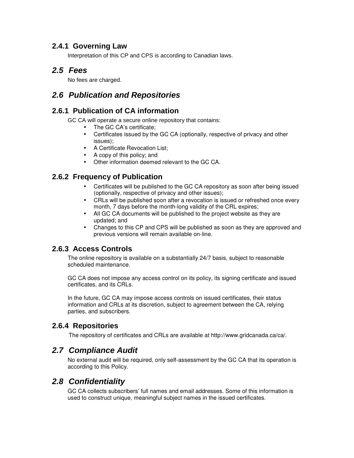### **2.4.1 Governing Law**

Interpretation of this CP and CPS is according to Canadian laws.

## **2.5 Fees**

No fees are charged.

# **2.6 Publication and Repositories**

### **2.6.1 Publication of CA information**

GC CA will operate a secure online repository that contains:

- The GC CA's certificate;
- Certificates issued by the GC CA (optionally, respective of privacy and other issues);
- A Certificate Revocation List;
- A copy of this policy; and
- Other information deemed relevant to the GC CA.

## **2.6.2 Frequency of Publication**

- Certificates will be published to the GC CA repository as soon after being issued (optionally, respective of privacy and other issues);
- CRLs will be published soon after a revocation is issued or refreshed once every month, 7 days before the month-long validity of the CRL expires;
- All GC CA documents will be published to the project website as they are updated; and
- Changes to this CP and CPS will be published as soon as they are approved and previous versions will remain available on-line.

### **2.6.3 Access Controls**

The online repository is available on a substantially 24/7 basis, subject to reasonable scheduled maintenance.

GC CA does not impose any access control on its policy, its signing certificate and issued certificates, and its CRLs.

In the future, GC CA may impose access controls on issued certificates, their status information and CRLs at its discretion, subject to agreement between the CA, relying parties, and subscribers.

### **2.6.4 Repositories**

The repository of certificates and CRLs are available at http://www.gridcanada.ca/ca/.

## **2.7 Compliance Audit**

No external audit will be required, only self-assessment by the GC CA that its operation is according to this Policy.

## **2.8 Confidentiality**

GC CA collects subscribers' full names and email addresses. Some of this information is used to construct unique, meaningful subject names in the issued certificates.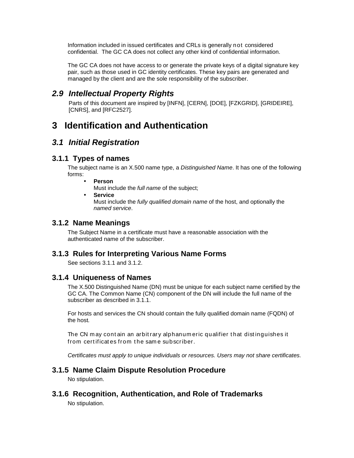Information included in issued certificates and CRLs is generally not considered confidential. The GC CA does not collect any other kind of confidential information.

The GC CA does not have access to or generate the private keys of a digital signature key pair, such as those used in GC identity certificates. These key pairs are generated and managed by the client and are the sole responsibility of the subscriber.

### **2.9 Intellectual Property Rights**

Parts of this document are inspired by [INFN], [CERN], [DOE], [FZKGRID], [GRIDEIRE], [CNRS], and [RFC2527].

# **3 Identification and Authentication**

### **3.1 Initial Registration**

### **3.1.1 Types of names**

The subject name is an X.500 name type, a Distinguished Name. It has one of the following forms:

• **Person**

Must include the full name of the subject;

• **Service**

Must include the fully qualified domain name of the host, and optionally the named service.

### **3.1.2 Name Meanings**

The Subject Name in a certificate must have a reasonable association with the authenticated name of the subscriber.

### **3.1.3 Rules for Interpreting Various Name Forms**

See sections 3.1.1 and 3.1.2.

### **3.1.4 Uniqueness of Names**

The X.500 Distinguished Name (DN) must be unique for each subject name certified by the GC CA. The Common Name (CN) component of the DN will include the full name of the subscriber as described in 3.1.1.

For hosts and services the CN should contain the fully qualified domain name (FQDN) of the host.

The CN may contain an arbit rary alphanum eric qualifier that distinguishes it from certificates from the same subscriber.

Certificates must apply to unique individuals or resources. Users may not share certificates.

### **3.1.5 Name Claim Dispute Resolution Procedure**

No stipulation.

### **3.1.6 Recognition, Authentication, and Role of Trademarks**

No stipulation.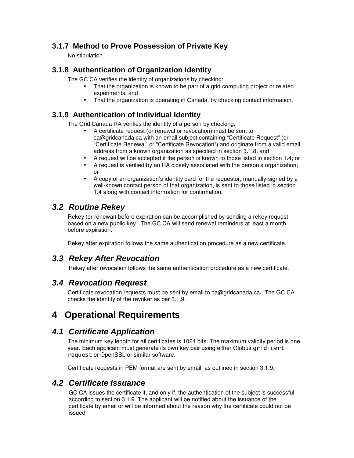### **3.1.7 Method to Prove Possession of Private Key**

No stipulation.

### **3.1.8 Authentication of Organization Identity**

The GC CA verifies the identity of organizations by checking:

- That the organization is known to be part of a grid computing project or related experiments; and
- That the organization is operating in Canada, by checking contact information.

### **3.1.9 Authentication of Individual Identity**

The Grid Canada RA verifies the identity of a person by checking:

- A certificate request (or renewal or revocation) must be sent to ca@gridcanada.ca with an email subject containing "Certificate Request" (or "Certificate Renewal" or "Certificate Revocation") and originate from a valid email address from a known organization as specified in section 3.1.8; and
- A request will be accepted if the person is known to those listed in section 1.4; or
- A request is verified by an RA closely associated with the person's organization; or
- A copy of an organization's identity card for the requestor, manually-signed by a well-known contact person of that organization, is sent to those listed in section 1.4 along with contact information for confirmation.

# **3.2 Routine Rekey**

Rekey (or renewal) before expiration can be accomplished by sending a rekey request based on a new public key. The GC CA will send renewal reminders at least a month before expiration.

Rekey after expiration follows the same authentication procedure as a new certificate.

# **3.3 Rekey After Revocation**

Rekey after revocation follows the same authentication procedure as a new certificate.

## **3.4 Revocation Request**

Certificate revocation requests must be sent by email to ca@gridcanada.ca**.** The GC CA checks the identity of the revoker as per 3.1.9.

# **4 Operational Requirements**

# **4.1 Certificate Application**

The minimum key length for all certificates is 1024 bits. The maximum validity period is one year. Each applicant must generate its own key pair using either Globus g<code>rid-cert-</code> request or OpenSSL or similar software.

Certificate requests in PEM format are sent by email, as outlined in section 3.1.9.

## **4.2 Certificate Issuance**

GC CA issues the certificate if, and only if, the authentication of the subject is successful according to section 3.1.9. The applicant will be notified about the issuance of the certificate by email or will be informed about the reason why the certificate could not be issued.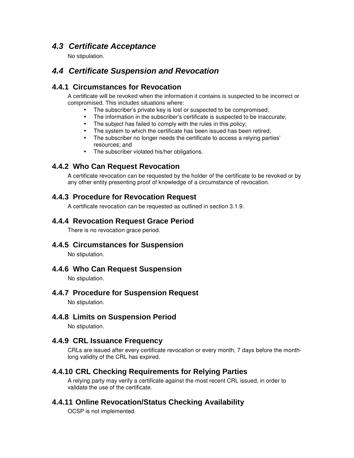# **4.3 Certificate Acceptance**

No stipulation.

# **4.4 Certificate Suspension and Revocation**

### **4.4.1 Circumstances for Revocation**

A certificate will be revoked when the information it contains is suspected to be incorrect or compromised. This includes situations where:

- The subscriber's private key is lost or suspected to be compromised;
- The information in the subscriber's certificate is suspected to be inaccurate;
- The subject has failed to comply with the rules in this policy;
- The system to which the certificate has been issued has been retired;
- The subscriber no longer needs the certificate to access a relying parties' resources; and
- The subscriber violated his/her obligations.

### **4.4.2 Who Can Request Revocation**

A certificate revocation can be requested by the holder of the certificate to be revoked or by any other entity presenting proof of knowledge of a circumstance of revocation.

### **4.4.3 Procedure for Revocation Request**

A certificate revocation can be requested as outlined in section 3.1.9.

### **4.4.4 Revocation Request Grace Period**

There is no revocation grace period.

**4.4.5 Circumstances for Suspension** 

No stipulation.

**4.4.6 Who Can Request Suspension** 

No stipulation.

### **4.4.7 Procedure for Suspension Request**

No stipulation.

**4.4.8 Limits on Suspension Period** 

No stipulation.

### **4.4.9 CRL Issuance Frequency**

CRLs are issued after every certificate revocation or every month, 7 days before the monthlong validity of the CRL has expired.

### **4.4.10 CRL Checking Requirements for Relying Parties**

A relying party may verify a certificate against the most recent CRL issued, in order to validate the use of the certificate.

### **4.4.11 Online Revocation/Status Checking Availability**

OCSP is not implemented.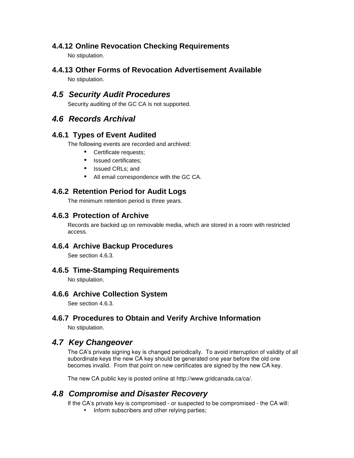### **4.4.12 Online Revocation Checking Requirements**

No stipulation.

**4.4.13 Other Forms of Revocation Advertisement Available** 

No stipulation.

# **4.5 Security Audit Procedures**

Security auditing of the GC CA is not supported.

# **4.6 Records Archival**

### **4.6.1 Types of Event Audited**

The following events are recorded and archived:

- Certificate requests;
- Issued certificates:
- Issued CRLs; and
- All email correspondence with the GC CA.

### **4.6.2 Retention Period for Audit Logs**

The minimum retention period is three years.

### **4.6.3 Protection of Archive**

Records are backed up on removable media, which are stored in a room with restricted access.

### **4.6.4 Archive Backup Procedures**

See section 4.6.3.

### **4.6.5 Time-Stamping Requirements**

No stipulation.

### **4.6.6 Archive Collection System**

See section 4.6.3.

### **4.6.7 Procedures to Obtain and Verify Archive Information**

No stipulation.

## **4.7 Key Changeover**

The CA's private signing key is changed periodically. To avoid interruption of validity of all subordinate keys the new CA key should be generated one year before the old one becomes invalid. From that point on new certificates are signed by the new CA key.

The new CA public key is posted online at http://www.gridcanada.ca/ca/.

# **4.8 Compromise and Disaster Recovery**

If the CA's private key is compromised - or suspected to be compromised - the CA will:

• Inform subscribers and other relying parties;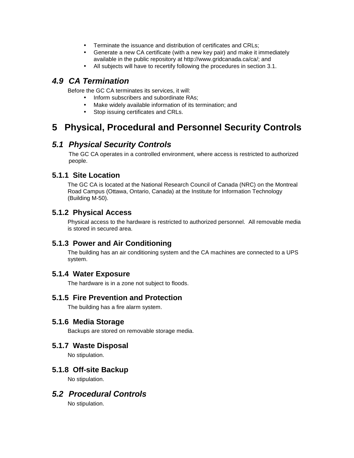- Terminate the issuance and distribution of certificates and CRLs;
- Generate a new CA certificate (with a new key pair) and make it immediately available in the public repository at http://www.gridcanada.ca/ca/; and
- All subjects will have to recertify following the procedures in section 3.1.

# **4.9 CA Termination**

Before the GC CA terminates its services, it will:

- Inform subscribers and subordinate RAs:
- Make widely available information of its termination; and
- Stop issuing certificates and CRLs.

# **5 Physical, Procedural and Personnel Security Controls**

# **5.1 Physical Security Controls**

The GC CA operates in a controlled environment, where access is restricted to authorized people.

### **5.1.1 Site Location**

The GC CA is located at the National Research Council of Canada (NRC) on the Montreal Road Campus (Ottawa, Ontario, Canada) at the Institute for Information Technology (Building M-50).

### **5.1.2 Physical Access**

Physical access to the hardware is restricted to authorized personnel. All removable media is stored in secured area.

### **5.1.3 Power and Air Conditioning**

The building has an air conditioning system and the CA machines are connected to a UPS system.

### **5.1.4 Water Exposure**

The hardware is in a zone not subject to floods.

### **5.1.5 Fire Prevention and Protection**

The building has a fire alarm system.

### **5.1.6 Media Storage**

Backups are stored on removable storage media.

### **5.1.7 Waste Disposal**

No stipulation.

### **5.1.8 Off-site Backup**

No stipulation.

# **5.2 Procedural Controls**

No stipulation.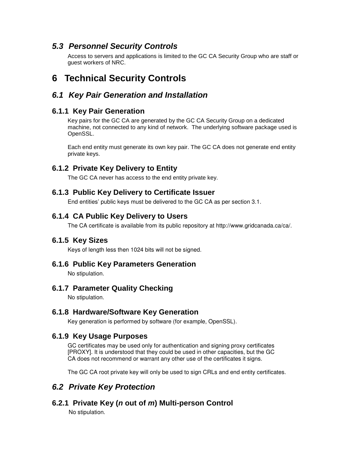## **5.3 Personnel Security Controls**

Access to servers and applications is limited to the GC CA Security Group who are staff or guest workers of NRC.

# **6 Technical Security Controls**

## **6.1 Key Pair Generation and Installation**

### **6.1.1 Key Pair Generation**

Key pairs for the GC CA are generated by the GC CA Security Group on a dedicated machine, not connected to any kind of network. The underlying software package used is OpenSSL.

Each end entity must generate its own key pair. The GC CA does not generate end entity private keys.

## **6.1.2 Private Key Delivery to Entity**

The GC CA never has access to the end entity private key.

### **6.1.3 Public Key Delivery to Certificate Issuer**

End entities' public keys must be delivered to the GC CA as per section 3.1.

### **6.1.4 CA Public Key Delivery to Users**

The CA certificate is available from its public repository at http://www.gridcanada.ca/ca/.

### **6.1.5 Key Sizes**

Keys of length less then 1024 bits will not be signed.

### **6.1.6 Public Key Parameters Generation**

No stipulation.

### **6.1.7 Parameter Quality Checking**

No stipulation.

### **6.1.8 Hardware/Software Key Generation**

Key generation is performed by software (for example, OpenSSL).

### **6.1.9 Key Usage Purposes**

GC certificates may be used only for authentication and signing proxy certificates [PROXY]. It is understood that they could be used in other capacities, but the GC CA does not recommend or warrant any other use of the certificates it signs.

The GC CA root private key will only be used to sign CRLs and end entity certificates.

# **6.2 Private Key Protection**

**6.2.1 Private Key (n out of m) Multi-person Control** 

No stipulation.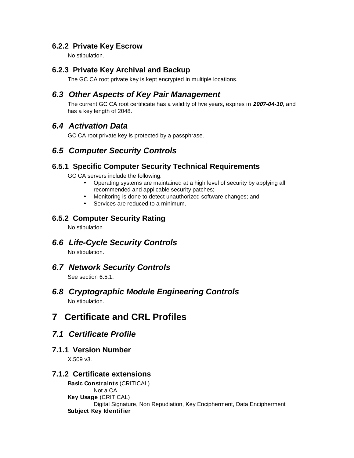### **6.2.2 Private Key Escrow**

No stipulation.

### **6.2.3 Private Key Archival and Backup**

The GC CA root private key is kept encrypted in multiple locations.

### **6.3 Other Aspects of Key Pair Management**

The current GC CA root certificate has a validity of five years, expires in **2007-04-10**, and has a key length of 2048.

### **6.4 Activation Data**

GC CA root private key is protected by a passphrase.

# **6.5 Computer Security Controls**

### **6.5.1 Specific Computer Security Technical Requirements**

GC CA servers include the following:

- Operating systems are maintained at a high level of security by applying all recommended and applicable security patches;
- Monitoring is done to detect unauthorized software changes; and
- Services are reduced to a minimum.

### **6.5.2 Computer Security Rating**

No stipulation.

# **6.6 Life-Cycle Security Controls**

No stipulation.

### **6.7 Network Security Controls**

See section 6.5.1.

# **6.8 Cryptographic Module Engineering Controls**

No stipulation.

# **7 Certificate and CRL Profiles**

## **7.1 Certificate Profile**

### **7.1.1 Version Number**

X.509 v3.

### **7.1.2 Certificate extensions**

**Basic Constraints** (CRITICAL) Not a CA. **Key Usage** (CRITICAL) Digital Signature, Non Repudiation, Key Encipherment, Data Encipherment **Subject Key Identifier**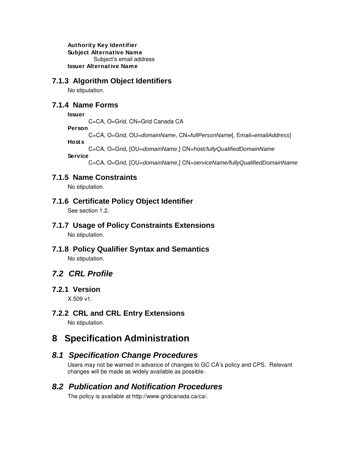**Authority Key Identifier Subject Alternative Name**  Subject's email address **Issuer Alternative Name**

### **7.1.3 Algorithm Object Identifiers**

No stipulation.

### **7.1.4 Name Forms**

### **Issuer**

C=CA, O=Grid, CN=Grid Canada CA

**Person**

C=CA, O=Grid, OU=domainName, CN=fullPersonName[, Email=emailAddress]

### **Hosts**

C=CA, O=Grid, [OU=domainName,] CN=host/fullyQualifiedDomainName

### **Service**

C=CA, O=Grid, [OU=domainName,] CN=serviceName/fullyQualifiedDomainName

### **7.1.5 Name Constraints**

No stipulation.

### **7.1.6 Certificate Policy Object Identifier**

See section 1.2.

### **7.1.7 Usage of Policy Constraints Extensions**

No stipulation.

**7.1.8 Policy Qualifier Syntax and Semantics**  No stipulation.

## **7.2 CRL Profile**

### **7.2.1 Version**

X.509 v1.

### **7.2.2 CRL and CRL Entry Extensions**

No stipulation.

# **8 Specification Administration**

### **8.1 Specification Change Procedures**

Users may not be warned in advance of changes to GC CA's policy and CPS. Relevant changes will be made as widely available as possible.

### **8.2 Publication and Notification Procedures**

The policy is available at http://www.gridcanada.ca/ca/.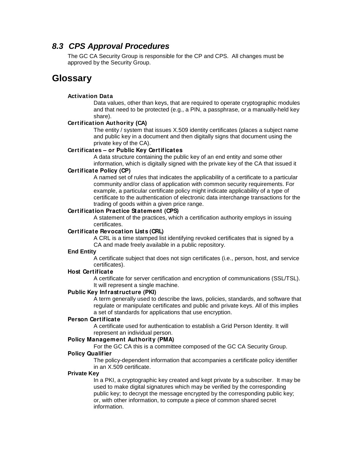### **8.3 CPS Approval Procedures**

The GC CA Security Group is responsible for the CP and CPS. All changes must be approved by the Security Group.

# **Glossary**

### **Activation Data**

Data values, other than keys, that are required to operate cryptographic modules and that need to be protected (e.g., a PIN, a passphrase, or a manually-held key share).

### **Certification Authority (CA)**

The entity / system that issues X.509 identity certificates (places a subject name and public key in a document and then digitally signs that document using the private key of the CA).

### **Certificates – or Public Key Certificates**

A data structure containing the public key of an end entity and some other information, which is digitally signed with the private key of the CA that issued it

### **Certificate Policy (CP)**

A named set of rules that indicates the applicability of a certificate to a particular community and/or class of application with common security requirements. For example, a particular certificate policy might indicate applicability of a type of certificate to the authentication of electronic data interchange transactions for the trading of goods within a given price range.

### **Certification Practice Statement (CPS)**

A statement of the practices, which a certification authority employs in issuing certificates.

### **Certificate Revocation Lists (CRL)**

A CRL is a time stamped list identifying revoked certificates that is signed by a CA and made freely available in a public repository.

### **End Entity**

A certificate subject that does not sign certificates (i.e., person, host, and service certificates).

### **Host Certificate**

A certificate for server certification and encryption of communications (SSL/TSL). It will represent a single machine.

### **Public Key Infrastructure (PKI)**

A term generally used to describe the laws, policies, standards, and software that regulate or manipulate certificates and public and private keys. All of this implies a set of standards for applications that use encryption.

### **Person Certificate**

A certificate used for authentication to establish a Grid Person Identity. It will represent an individual person.

### **Policy Management Authority (PMA)**

For the GC CA this is a committee composed of the GC CA Security Group.

### **Policy Qualifier**

The policy-dependent information that accompanies a certificate policy identifier in an X.509 certificate.

### **Private Key**

In a PKI, a cryptographic key created and kept private by a subscriber. It may be used to make digital signatures which may be verified by the corresponding public key; to decrypt the message encrypted by the corresponding public key; or, with other information, to compute a piece of common shared secret information.